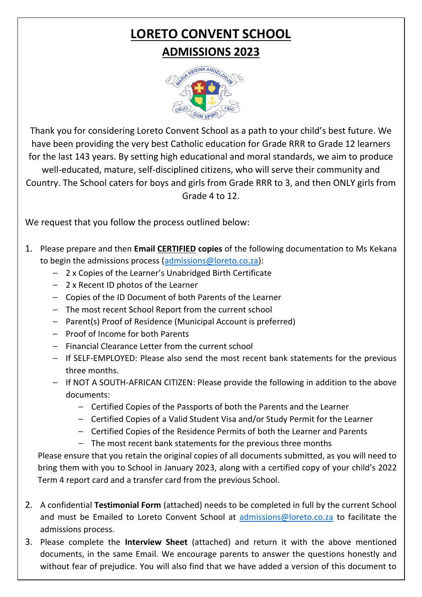# **LORETO CONVENT SCHOOL ADMISSIONS 2023**



Thank you for considering Loreto Convent School as a path to your child's best future. We have been providing the very best Catholic education for Grade RRR to Grade 12 learners for the last 143 years. By setting high educational and moral standards, we aim to produce well-educated, mature, self-disciplined citizens, who will serve their community and Country. The School caters for boys and girls from Grade RRR to 3, and then ONLY girls from Grade 4 to 12.

We request that you follow the process outlined below:

- 1. Please prepare and then **Email CERTIFIED copies** of the following documentation to Ms Kekana to begin the admissions process [\(admissions@loreto.co.za\)](mailto:admissions@loreto.co.za):
	- 2 x Copies of the Learner's Unabridged Birth Certificate
	- 2 x Recent ID photos of the Learner
	- Copies of the ID Document of both Parents of the Learner
	- The most recent School Report from the current school
	- Parent(s) Proof of Residence (Municipal Account is preferred)
	- Proof of Income for both Parents
	- Financial Clearance Letter from the current school
	- If SELF-EMPLOYED: Please also send the most recent bank statements for the previous three months.
	- If NOT A SOUTH-AFRICAN CITIZEN: Please provide the following in addition to the above documents:
		- Certified Copies of the Passports of both the Parents and the Learner
		- Certified Copies of a Valid Student Visa and/or Study Permit for the Learner
		- Certified Copies of the Residence Permits of both the Learner and Parents
		- The most recent bank statements for the previous three months

Please ensure that you retain the original copies of all documents submitted, as you will need to bring them with you to School in January 2023, along with a certified copy of your child's 2022 Term 4 report card and a transfer card from the previous School.

- 2. A confidential **Testimonial Form** (attached) needs to be completed in full by the current School and must be Emailed to Loreto Convent School at [admissions@loreto.co.za](mailto:admissions@loreto.co.za) to facilitate the admissions process.
- 3. Please complete the **Interview Sheet** (attached) and return it with the above mentioned documents, in the same Email. We encourage parents to answer the questions honestly and without fear of prejudice. You will also find that we have added a version of this document to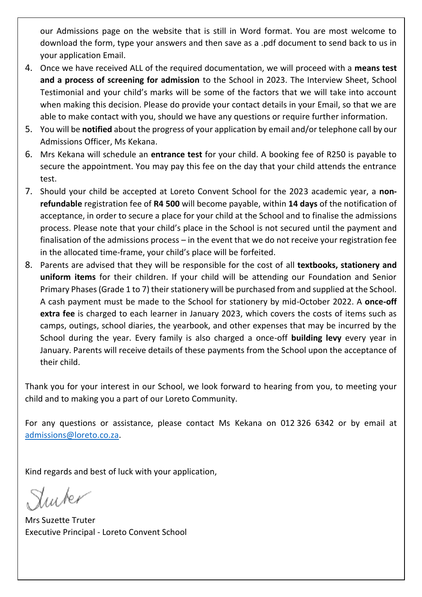our Admissions page on the website that is still in Word format. You are most welcome to download the form, type your answers and then save as a .pdf document to send back to us in your application Email.

- 4. Once we have received ALL of the required documentation, we will proceed with a **means test and a process of screening for admission** to the School in 2023. The Interview Sheet, School Testimonial and your child's marks will be some of the factors that we will take into account when making this decision. Please do provide your contact details in your Email, so that we are able to make contact with you, should we have any questions or require further information.
- 5. You will be **notified** about the progress of your application by email and/or telephone call by our Admissions Officer, Ms Kekana.
- 6. Mrs Kekana will schedule an **entrance test** for your child. A booking fee of R250 is payable to secure the appointment. You may pay this fee on the day that your child attends the entrance test.
- 7. Should your child be accepted at Loreto Convent School for the 2023 academic year, a **nonrefundable** registration fee of **R4 500** will become payable, within **14 days** of the notification of acceptance, in order to secure a place for your child at the School and to finalise the admissions process. Please note that your child's place in the School is not secured until the payment and finalisation of the admissions process – in the event that we do not receive your registration fee in the allocated time-frame, your child's place will be forfeited.
- 8. Parents are advised that they will be responsible for the cost of all **textbooks, stationery and uniform items** for their children. If your child will be attending our Foundation and Senior Primary Phases (Grade 1 to 7) their stationery will be purchased from and supplied at the School. A cash payment must be made to the School for stationery by mid-October 2022. A **once-off extra fee** is charged to each learner in January 2023, which covers the costs of items such as camps, outings, school diaries, the yearbook, and other expenses that may be incurred by the School during the year. Every family is also charged a once-off **building levy** every year in January. Parents will receive details of these payments from the School upon the acceptance of their child.

Thank you for your interest in our School, we look forward to hearing from you, to meeting your child and to making you a part of our Loreto Community.

For any questions or assistance, please contact Ms Kekana on 012 326 6342 or by email at [admissions@loreto.co.za.](mailto:admissions@loreto.co.za)

Kind regards and best of luck with your application,

Mrs Suzette Truter Executive Principal - Loreto Convent School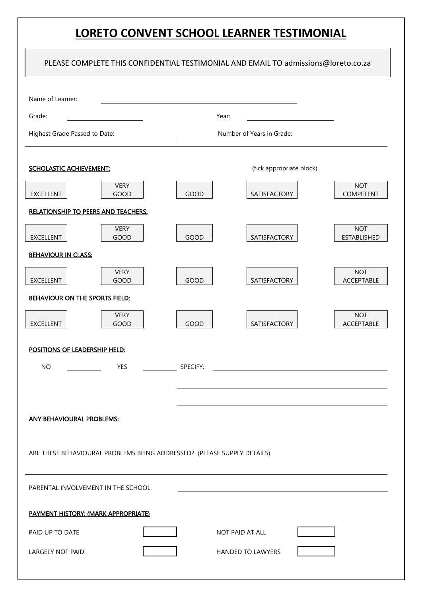## **LORETO CONVENT SCHOOL LEARNER TESTIMONIAL**

|                                                                         |                                     |                           | PLEASE COMPLETE THIS CONFIDENTIAL TESTIMONIAL AND EMAIL TO admissions@loreto.co.za |                                  |  |
|-------------------------------------------------------------------------|-------------------------------------|---------------------------|------------------------------------------------------------------------------------|----------------------------------|--|
| Name of Learner:                                                        |                                     |                           |                                                                                    |                                  |  |
| Grade:                                                                  |                                     | Year:                     |                                                                                    |                                  |  |
| Highest Grade Passed to Date:                                           |                                     | Number of Years in Grade: |                                                                                    |                                  |  |
| <b>SCHOLASTIC ACHIEVEMENT:</b>                                          |                                     |                           | (tick appropriate block)                                                           |                                  |  |
| <b>EXCELLENT</b>                                                        | <b>VERY</b><br><b>GOOD</b>          | GOOD                      | SATISFACTORY                                                                       | <b>NOT</b><br><b>COMPETENT</b>   |  |
| <b>RELATIONSHIP TO PEERS AND TEACHERS:</b>                              |                                     |                           |                                                                                    |                                  |  |
| <b>EXCELLENT</b>                                                        | <b>VERY</b><br>GOOD                 | GOOD                      | SATISFACTORY                                                                       | <b>NOT</b><br><b>ESTABLISHED</b> |  |
| <b>BEHAVIOUR IN CLASS:</b>                                              |                                     |                           |                                                                                    |                                  |  |
| <b>EXCELLENT</b>                                                        | <b>VERY</b><br>GOOD                 | GOOD                      | SATISFACTORY                                                                       | <b>NOT</b><br>ACCEPTABLE         |  |
| BEHAVIOUR ON THE SPORTS FIELD:                                          |                                     |                           |                                                                                    |                                  |  |
| <b>EXCELLENT</b>                                                        | <b>VERY</b><br>GOOD                 | GOOD                      | SATISFACTORY                                                                       | <b>NOT</b><br>ACCEPTABLE         |  |
| POSITIONS OF LEADERSHIP HELD:                                           |                                     |                           |                                                                                    |                                  |  |
| <b>NO</b>                                                               | <b>YES</b>                          | SPECIFY:                  |                                                                                    |                                  |  |
|                                                                         |                                     |                           |                                                                                    |                                  |  |
| <b>ANY BEHAVIOURAL PROBLEMS:</b>                                        |                                     |                           |                                                                                    |                                  |  |
| ARE THESE BEHAVIOURAL PROBLEMS BEING ADDRESSED? (PLEASE SUPPLY DETAILS) |                                     |                           |                                                                                    |                                  |  |
| PARENTAL INVOLVEMENT IN THE SCHOOL:                                     |                                     |                           |                                                                                    |                                  |  |
|                                                                         | PAYMENT HISTORY: (MARK APPROPRIATE) |                           |                                                                                    |                                  |  |
| PAID UP TO DATE                                                         |                                     |                           | NOT PAID AT ALL                                                                    |                                  |  |
| LARGELY NOT PAID                                                        |                                     |                           | HANDED TO LAWYERS                                                                  |                                  |  |
|                                                                         |                                     |                           |                                                                                    |                                  |  |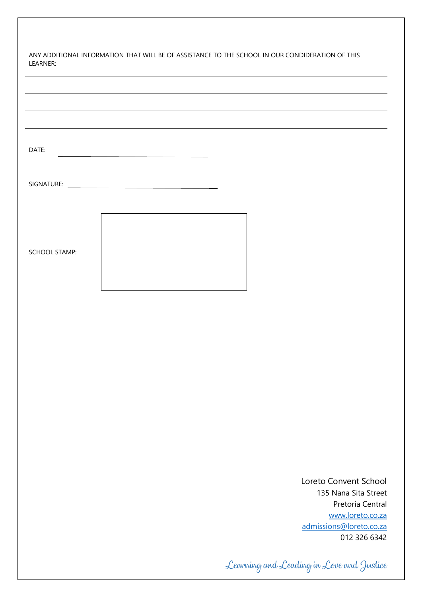| LEARNER:             | ANY ADDITIONAL INFORMATION THAT WILL BE OF ASSISTANCE TO THE SCHOOL IN OUR CONDIDERATION OF THIS |
|----------------------|--------------------------------------------------------------------------------------------------|
|                      |                                                                                                  |
|                      |                                                                                                  |
|                      |                                                                                                  |
| DATE:                | <u> 1989 - Johann Barbara, martxa alemaniar a</u>                                                |
|                      |                                                                                                  |
|                      |                                                                                                  |
|                      |                                                                                                  |
| <b>SCHOOL STAMP:</b> |                                                                                                  |
|                      |                                                                                                  |
|                      |                                                                                                  |
|                      |                                                                                                  |
|                      |                                                                                                  |
|                      |                                                                                                  |
|                      |                                                                                                  |
|                      |                                                                                                  |
|                      | Loreto Convent School                                                                            |
|                      | 135 Nana Sita Street<br>Pretoria Central                                                         |
|                      | www.loreto.co.za<br>admissions@loreto.co.za<br>012 326 6342                                      |
|                      | Learning and Leading in Love and Justice                                                         |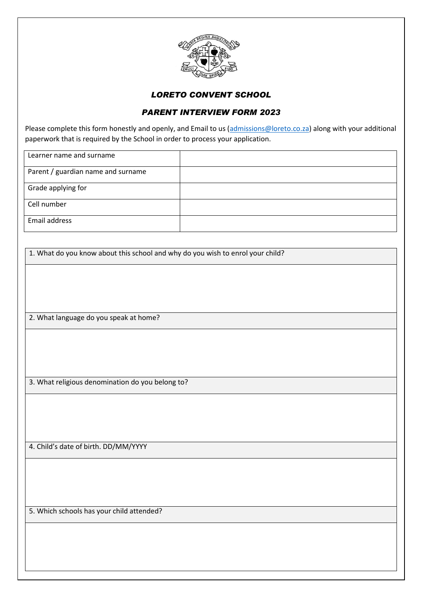

#### *LORETO CONVENT SCHOOL*

#### *PARENT INTERVIEW FORM 2023*

Please complete this form honestly and openly, and Email to us [\(admissions@loreto.co.za\)](mailto:admissions@loreto.co.za) along with your additional paperwork that is required by the School in order to process your application.

| Learner name and surname           |  |
|------------------------------------|--|
| Parent / guardian name and surname |  |
| Grade applying for                 |  |
| Cell number                        |  |
| Email address                      |  |

1. What do you know about this school and why do you wish to enrol your child?

2. What language do you speak at home?

3. What religious denomination do you belong to?

4. Child's date of birth. DD/MM/YYYY

5. Which schools has your child attended?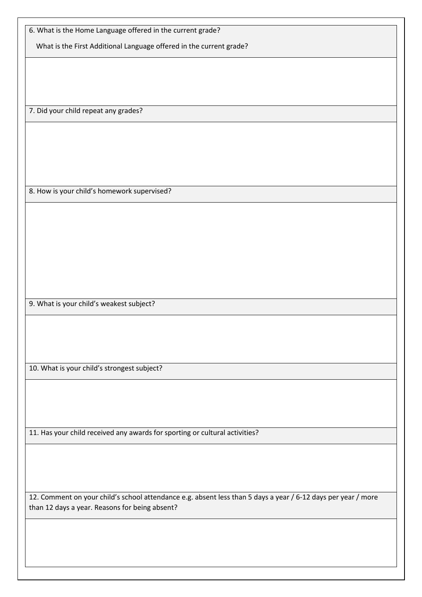| 6. What is the Home Language offered in the current grade?                                                    |  |  |
|---------------------------------------------------------------------------------------------------------------|--|--|
| What is the First Additional Language offered in the current grade?                                           |  |  |
|                                                                                                               |  |  |
|                                                                                                               |  |  |
|                                                                                                               |  |  |
|                                                                                                               |  |  |
| 7. Did your child repeat any grades?                                                                          |  |  |
|                                                                                                               |  |  |
|                                                                                                               |  |  |
|                                                                                                               |  |  |
|                                                                                                               |  |  |
|                                                                                                               |  |  |
|                                                                                                               |  |  |
| 8. How is your child's homework supervised?                                                                   |  |  |
|                                                                                                               |  |  |
|                                                                                                               |  |  |
|                                                                                                               |  |  |
|                                                                                                               |  |  |
|                                                                                                               |  |  |
|                                                                                                               |  |  |
|                                                                                                               |  |  |
|                                                                                                               |  |  |
| 9. What is your child's weakest subject?                                                                      |  |  |
|                                                                                                               |  |  |
|                                                                                                               |  |  |
|                                                                                                               |  |  |
|                                                                                                               |  |  |
| 10. What is your child's strongest subject?                                                                   |  |  |
|                                                                                                               |  |  |
|                                                                                                               |  |  |
|                                                                                                               |  |  |
|                                                                                                               |  |  |
| 11. Has your child received any awards for sporting or cultural activities?                                   |  |  |
|                                                                                                               |  |  |
|                                                                                                               |  |  |
|                                                                                                               |  |  |
|                                                                                                               |  |  |
| 12. Comment on your child's school attendance e.g. absent less than 5 days a year / 6-12 days per year / more |  |  |

than 12 days a year. Reasons for being absent?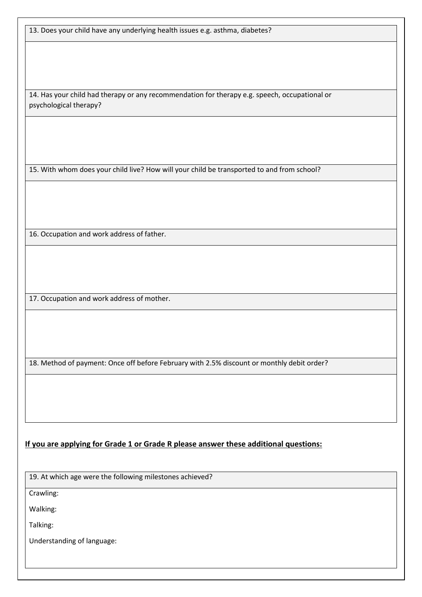13. Does your child have any underlying health issues e.g. asthma, diabetes?

14. Has your child had therapy or any recommendation for therapy e.g. speech, occupational or psychological therapy?

15. With whom does your child live? How will your child be transported to and from school?

16. Occupation and work address of father.

17. Occupation and work address of mother.

18. Method of payment: Once off before February with 2.5% discount or monthly debit order?

**If you are applying for Grade 1 or Grade R please answer these additional questions:**

19. At which age were the following milestones achieved?

Crawling:

Walking:

Talking:

Understanding of language: